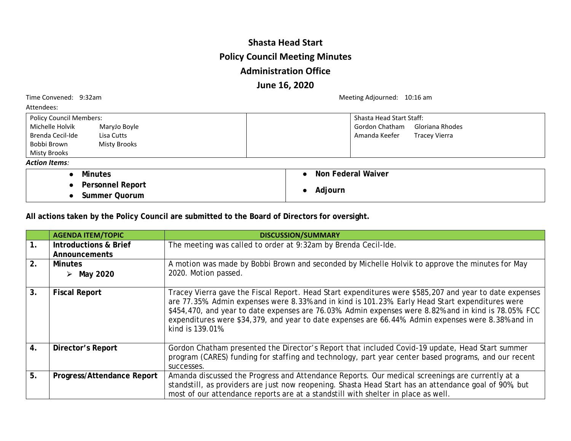## **Shasta Head Start Policy Council Meeting Minutes Administration Office**

## **June 16, 2020**

Time Convened: 9:32am and 10:16 am and 10:16 am and 10:16 am and 10:16 am and 10:16 am

| Attendees:                      |                                       |
|---------------------------------|---------------------------------------|
| <b>Policy Council Members:</b>  | Shasta Head Start Staff:              |
| Michelle Holvik<br>MaryJo Boyle | Gloriana Rhodes<br>Gordon Chatham     |
| Brenda Cecil-Ide<br>Lisa Cutts  | Amanda Keefer<br><b>Tracey Vierra</b> |
| Bobbi Brown<br>Misty Brooks     |                                       |
| Misty Brooks                    |                                       |
| <b>Action Items:</b>            |                                       |
| <b>Minutes</b><br>$\bullet$     | Non Federal Waiver                    |
| • Personnel Report              |                                       |
| <b>Summer Quorum</b>            | Adjourn                               |

**All actions taken by the Policy Council are submitted to the Board of Directors for oversight.**

|                    | <b>AGENDA ITEM/TOPIC</b>                                 | <b>DISCUSSION/SUMMARY</b>                                                                                                                                                                                                                                                                                                                                                                                                                     |
|--------------------|----------------------------------------------------------|-----------------------------------------------------------------------------------------------------------------------------------------------------------------------------------------------------------------------------------------------------------------------------------------------------------------------------------------------------------------------------------------------------------------------------------------------|
| 1.                 | <b>Introductions &amp; Brief</b><br><b>Announcements</b> | The meeting was called to order at 9:32am by Brenda Cecil-Ide.                                                                                                                                                                                                                                                                                                                                                                                |
| 2.                 | <b>Minutes</b>                                           | A motion was made by Bobbi Brown and seconded by Michelle Holvik to approve the minutes for May                                                                                                                                                                                                                                                                                                                                               |
|                    | May 2020<br>➤                                            | 2020. Motion passed.                                                                                                                                                                                                                                                                                                                                                                                                                          |
| 3.                 | <b>Fiscal Report</b>                                     | Tracey Vierra gave the Fiscal Report. Head Start expenditures were \$585,207 and year to date expenses<br>are 77.35%. Admin expenses were 8.33% and in kind is 101.23%. Early Head Start expenditures were<br>\$454,470, and year to date expenses are 76.03%. Admin expenses were 8.82% and in kind is 78.05%. FCC<br>expenditures were \$34,379, and year to date expenses are 66.44%. Admin expenses were 8.38% and in<br>kind is 139.01%. |
| $\boldsymbol{4}$ . | <b>Director's Report</b>                                 | Gordon Chatham presented the Director's Report that included Covid-19 update, Head Start summer<br>program (CARES) funding for staffing and technology, part year center based programs, and our recent<br>successes.                                                                                                                                                                                                                         |
| 5.                 | Progress/Attendance Report                               | Amanda discussed the Progress and Attendance Reports. Our medical screenings are currently at a<br>standstill, as providers are just now reopening. Shasta Head Start has an attendance goal of 90%, but<br>most of our attendance reports are at a standstill with shelter in place as well.                                                                                                                                                 |